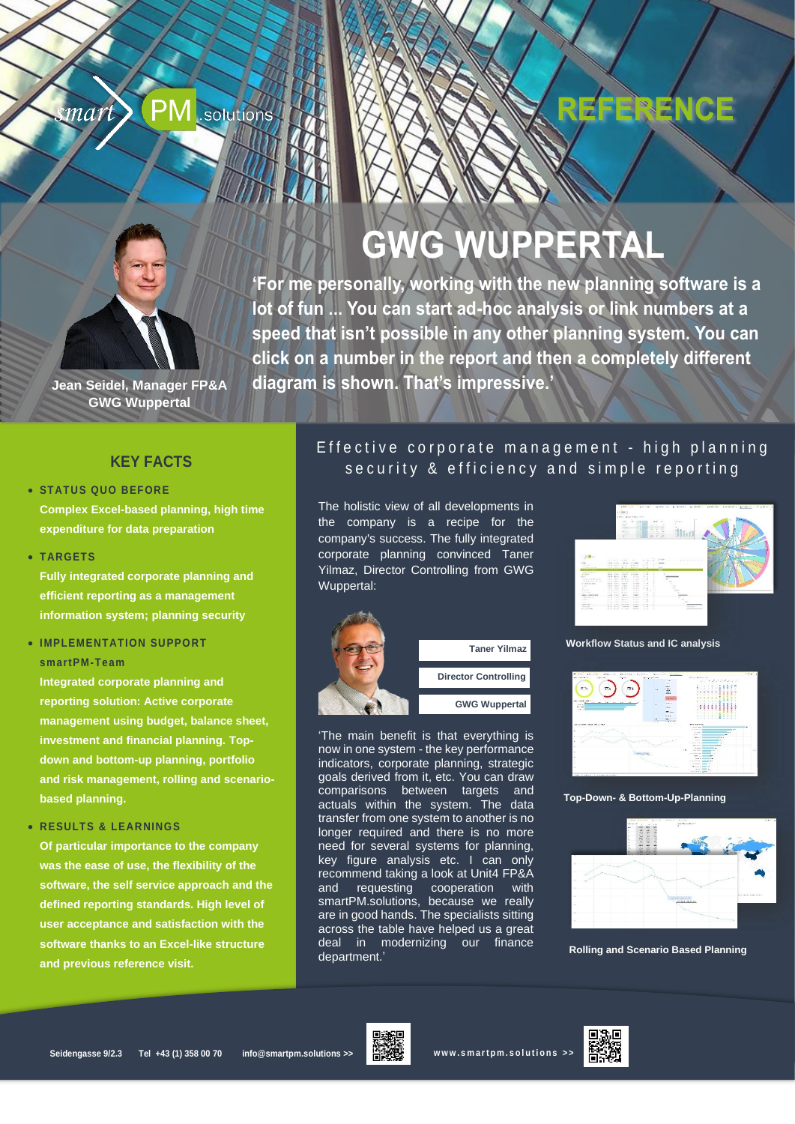#### mart .solutions

pro Jahr spart – bei Systemkosten im unteren sechsstelligen Bereich."

# REFERENCE



**GWG WUPPERTAL**

**'For me personally, working with the new planning software is a lot of fun ... You can start ad-hoc analysis or link numbers at a speed that isn't possible in any other planning system. You can click on a number in the report and then a completely different diagram is shown. That's impressive.'**

**Jean Seidel, Manager FP&A GWG Wuppertal**

#### **KEY FACTS**

#### • **STATUS QUO BEFORE**

**Complex Excel-based planning, high time expenditure for data preparation**

• **TARGETS**

**Fully integrated corporate planning and efficient reporting as a management information system; planning security**

#### • **IMPLEMENTATION SUPPORT smartPM-Team**

**Integrated corporate planning and reporting solution: Active corporate management using budget, balance sheet, investment and financial planning. Topdown and bottom-up planning, portfolio and risk management, rolling and scenariobased planning.**

• **RESULTS & LEARNINGS**

**Of particular importance to the company was the ease of use, the flexibility of the software, the self service approach and the defined reporting standards. High level of user acceptance and satisfaction with the software thanks to an Excel-like structure and previous reference visit.**

### Effective corporate management - high planning security & efficiency and simple reporting

The holistic view of all developments in the company is a recipe for the company's success. The fully integrated corporate planning convinced Taner Yilmaz, Director Controlling from GWG Wuppertal:

"Wenn den Mutter und gewachsene und gewachsene und gewachsene und gewachsene und gelebte Strukturen PPM Tool als D  $A = A - A$ n Projektbezogenen Projektbezogenen Projektbezogenen Projektbezogenen Projektbezogenen und Geld spanen. Die Berater der smartPolitike sparen. Die Berater der smartPolitike sparen. Die berater der smartPolitike span Anteil daran, dass der Flughafen Hamburg durch das systemimmanente, rigide Kostenmanagement des PPM Tools mehrere Millionen Euro



'The main benefit is that everything is now in one system - the key performance indicators, corporate planning, strategic goals derived from it, etc. You can draw comparisons between targets and actuals within the system. The data transfer from one system to another is no longer required and there is no more need for several systems for planning, key figure analysis etc. I can only recommend taking a look at Unit4 FP&A and requesting cooperation with smartPM.solutions, because we really are in good hands. The specialists sitting across the table have helped us a great deal in modernizing our finance department.'



**Workflow Status and IC analysis**



**Top-Down- & Bottom-Up-Planning**



**Rolling and Scenario Based Planning**